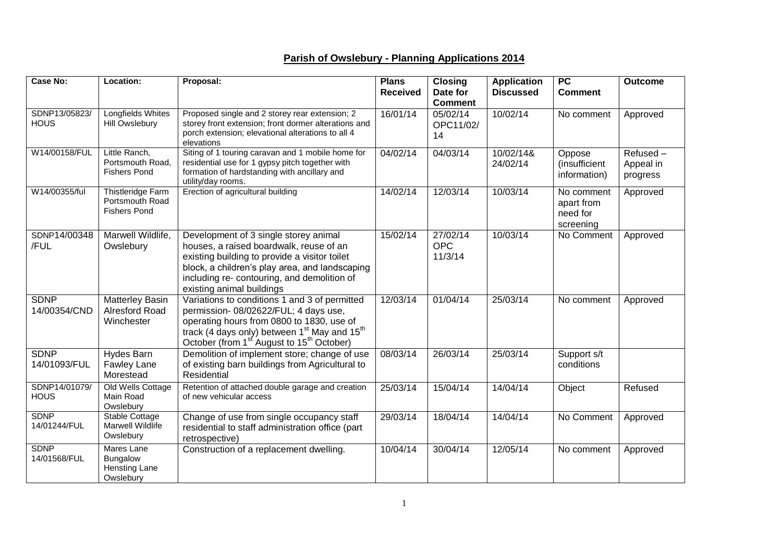## **Parish of Owslebury - Planning Applications 2014**

| <b>Case No:</b>              | Location:                                                   | Proposal:                                                                                                                                                                                                                                                                        | <b>Plans</b><br><b>Received</b> | <b>Closing</b><br>Date for<br><b>Comment</b> | <b>Application</b><br><b>Discussed</b> | $\overline{PC}$<br><b>Comment</b>                 | <b>Outcome</b>                    |
|------------------------------|-------------------------------------------------------------|----------------------------------------------------------------------------------------------------------------------------------------------------------------------------------------------------------------------------------------------------------------------------------|---------------------------------|----------------------------------------------|----------------------------------------|---------------------------------------------------|-----------------------------------|
| SDNP13/05823/<br><b>HOUS</b> | <b>Longfields Whites</b><br>Hill Owslebury                  | Proposed single and 2 storey rear extension; 2<br>storey front extension; front dormer alterations and<br>porch extension; elevational alterations to all 4<br>elevations                                                                                                        | 16/01/14                        | 05/02/14<br>OPC11/02/<br>14                  | 10/02/14                               | No comment                                        | Approved                          |
| W14/00158/FUL                | Little Ranch,<br>Portsmouth Road.<br><b>Fishers Pond</b>    | Siting of 1 touring caravan and 1 mobile home for<br>residential use for 1 gypsy pitch together with<br>formation of hardstanding with ancillary and<br>utility/day rooms.                                                                                                       | 04/02/14                        | 04/03/14                                     | 10/02/14&<br>24/02/14                  | Oppose<br>(insufficient<br>information)           | Refused-<br>Appeal in<br>progress |
| W14/00355/ful                | Thistleridge Farm<br>Portsmouth Road<br><b>Fishers Pond</b> | Erection of agricultural building                                                                                                                                                                                                                                                | 14/02/14                        | 12/03/14                                     | 10/03/14                               | No comment<br>apart from<br>need for<br>screening | Approved                          |
| SDNP14/00348<br>/FUL         | Marwell Wildlife,<br>Owslebury                              | Development of 3 single storey animal<br>houses, a raised boardwalk, reuse of an<br>existing building to provide a visitor toilet<br>block, a children's play area, and landscaping<br>including re- contouring, and demolition of<br>existing animal buildings                  | 15/02/14                        | 27/02/14<br><b>OPC</b><br>11/3/14            | 10/03/14                               | No Comment                                        | Approved                          |
| <b>SDNP</b><br>14/00354/CND  | Matterley Basin<br><b>Alresford Road</b><br>Winchester      | Variations to conditions 1 and 3 of permitted<br>permission- 08/02622/FUL; 4 days use,<br>operating hours from 0800 to 1830, use of<br>track (4 days only) between 1 <sup>st</sup> May and 15 <sup>th</sup><br>October (from 1 <sup>st</sup> August to 15 <sup>th</sup> October) | 12/03/14                        | 01/04/14                                     | 25/03/14                               | No comment                                        | Approved                          |
| <b>SDNP</b><br>14/01093/FUL  | <b>Hydes Barn</b><br><b>Fawley Lane</b><br>Morestead        | Demolition of implement store; change of use<br>of existing barn buildings from Agricultural to<br>Residential                                                                                                                                                                   | 08/03/14                        | 26/03/14                                     | 25/03/14                               | Support s/t<br>conditions                         |                                   |
| SDNP14/01079/<br><b>HOUS</b> | Old Wells Cottage<br>Main Road<br>Owslebury                 | Retention of attached double garage and creation<br>of new vehicular access                                                                                                                                                                                                      | 25/03/14                        | 15/04/14                                     | 14/04/14                               | Object                                            | Refused                           |
| <b>SDNP</b><br>14/01244/FUL  | <b>Stable Cottage</b><br>Marwell Wildlife<br>Owslebury      | Change of use from single occupancy staff<br>residential to staff administration office (part<br>retrospective)                                                                                                                                                                  | 29/03/14                        | 18/04/14                                     | 14/04/14                               | No Comment                                        | Approved                          |
| <b>SDNP</b><br>14/01568/FUL  | Mares Lane<br>Bungalow<br><b>Hensting Lane</b><br>Owslebury | Construction of a replacement dwelling.                                                                                                                                                                                                                                          | 10/04/14                        | 30/04/14                                     | 12/05/14                               | No comment                                        | Approved                          |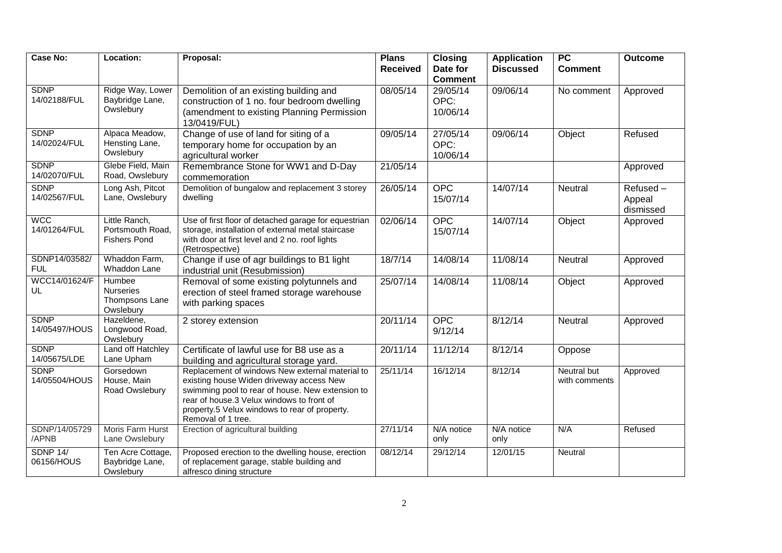| <b>Case No:</b>              | Location:                                                 | Proposal:                                                                                                                                                                                                                                                           | <b>Plans</b><br><b>Received</b> | <b>Closing</b><br>Date for<br><b>Comment</b> | <b>Application</b><br><b>Discussed</b> | $\overline{PC}$<br><b>Comment</b>   | <b>Outcome</b>                  |
|------------------------------|-----------------------------------------------------------|---------------------------------------------------------------------------------------------------------------------------------------------------------------------------------------------------------------------------------------------------------------------|---------------------------------|----------------------------------------------|----------------------------------------|-------------------------------------|---------------------------------|
| <b>SDNP</b><br>14/02188/FUL  | Ridge Way, Lower<br>Baybridge Lane,<br>Owslebury          | Demolition of an existing building and<br>construction of 1 no. four bedroom dwelling<br>(amendment to existing Planning Permission<br>13/0419/FUL)                                                                                                                 | 08/05/14                        | 29/05/14<br>OPC:<br>10/06/14                 | 09/06/14                               | No comment                          | Approved                        |
| <b>SDNP</b><br>14/02024/FUL  | Alpaca Meadow,<br>Hensting Lane,<br>Owslebury             | Change of use of land for siting of a<br>temporary home for occupation by an<br>agricultural worker                                                                                                                                                                 | 09/05/14                        | 27/05/14<br>OPC:<br>10/06/14                 | 09/06/14                               | Object                              | Refused                         |
| <b>SDNP</b><br>14/02070/FUL  | Glebe Field, Main<br>Road, Owslebury                      | Remembrance Stone for WW1 and D-Day<br>commemoration                                                                                                                                                                                                                | 21/05/14                        |                                              |                                        |                                     | Approved                        |
| <b>SDNP</b><br>14/02567/FUL  | Long Ash, Pitcot<br>Lane, Owslebury                       | Demolition of bungalow and replacement 3 storey<br>dwelling                                                                                                                                                                                                         | 26/05/14                        | <b>OPC</b><br>15/07/14                       | 14/07/14                               | Neutral                             | Refused-<br>Appeal<br>dismissed |
| <b>WCC</b><br>14/01264/FUL   | Little Ranch,<br>Portsmouth Road,<br><b>Fishers Pond</b>  | Use of first floor of detached garage for equestrian<br>storage, installation of external metal staircase<br>with door at first level and 2 no. roof lights<br>(Retrospective)                                                                                      | 02/06/14                        | <b>OPC</b><br>15/07/14                       | 14/07/14                               | Object                              | Approved                        |
| SDNP14/03582/<br><b>FUL</b>  | Whaddon Farm,<br>Whaddon Lane                             | Change if use of agr buildings to B1 light<br>industrial unit (Resubmission)                                                                                                                                                                                        | 18/7/14                         | 14/08/14                                     | 11/08/14                               | <b>Neutral</b>                      | Approved                        |
| WCC14/01624/F<br>UL          | Humbee<br><b>Nurseries</b><br>Thompsons Lane<br>Owslebury | Removal of some existing polytunnels and<br>erection of steel framed storage warehouse<br>with parking spaces                                                                                                                                                       | 25/07/14                        | 14/08/14                                     | 11/08/14                               | Object                              | Approved                        |
| <b>SDNP</b><br>14/05497/HOUS | Hazeldene,<br>Longwood Road,<br>Owslebury                 | 2 storey extension                                                                                                                                                                                                                                                  | 20/11/14                        | <b>OPC</b><br>9/12/14                        | 8/12/14                                | Neutral                             | Approved                        |
| <b>SDNP</b><br>14/05675/LDE  | Land off Hatchley<br>Lane Upham                           | Certificate of lawful use for B8 use as a<br>building and agricultural storage yard.                                                                                                                                                                                | 20/11/14                        | 11/12/14                                     | 8/12/14                                | Oppose                              |                                 |
| <b>SDNP</b><br>14/05504/HOUS | Gorsedown<br>House, Main<br>Road Owslebury                | Replacement of windows New external material to<br>existing house Widen driveway access New<br>swimming pool to rear of house. New extension to<br>rear of house.3 Velux windows to front of<br>property.5 Velux windows to rear of property.<br>Removal of 1 tree. | 25/11/14                        | 16/12/14                                     | 8/12/14                                | <b>Neutral but</b><br>with comments | Approved                        |
| SDNP/14/05729<br>/APNB       | Moris Farm Hurst<br>Lane Owslebury                        | Erection of agricultural building                                                                                                                                                                                                                                   | 27/11/14                        | N/A notice<br>only                           | N/A notice<br>only                     | N/A                                 | Refused                         |
| SDNP 14/<br>06156/HOUS       | Ten Acre Cottage,<br>Baybridge Lane,<br>Owslebury         | Proposed erection to the dwelling house, erection<br>of replacement garage, stable building and<br>alfresco dining structure                                                                                                                                        | 08/12/14                        | 29/12/14                                     | 12/01/15                               | Neutral                             |                                 |